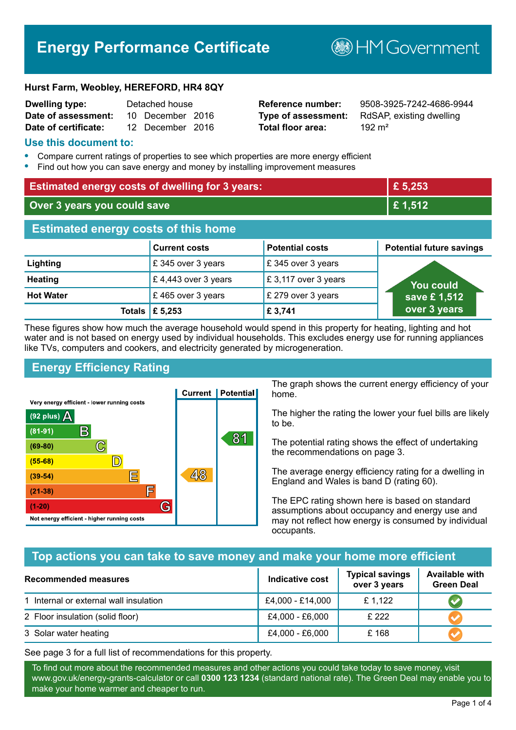# **Energy Performance Certificate**

**BHM Government** 

#### **Hurst Farm, Weobley, HEREFORD, HR4 8QY**

| <b>Dwelling type:</b> | Detached house |                  |  |
|-----------------------|----------------|------------------|--|
| Date of assessment:   |                | 10 December 2016 |  |
| Date of certificate:  |                | 12 December 2016 |  |

# **Total floor area:** 192 m<sup>2</sup>

**Reference number:** 9508-3925-7242-4686-9944 **Type of assessment:** RdSAP, existing dwelling

#### **Use this document to:**

- **•** Compare current ratings of properties to see which properties are more energy efficient
- **•** Find out how you can save energy and money by installing improvement measures

| <b>Estimated energy costs of dwelling for 3 years:</b> |                           |                        | £ 5,253                         |
|--------------------------------------------------------|---------------------------|------------------------|---------------------------------|
| Over 3 years you could save                            |                           | £1,512                 |                                 |
| <b>Estimated energy costs of this home</b>             |                           |                        |                                 |
|                                                        | <b>Current costs</b>      | <b>Potential costs</b> | <b>Potential future savings</b> |
| Lighting                                               | £345 over 3 years         | £345 over 3 years      |                                 |
| <b>Heating</b>                                         | £4,443 over 3 years       | £3,117 over 3 years    | You could                       |
| <b>Hot Water</b>                                       | £465 over 3 years         | £ 279 over 3 years     | save £1,512                     |
|                                                        | Totals $\mathsf{E}$ 5,253 | £ 3,741                | over 3 years                    |

These figures show how much the average household would spend in this property for heating, lighting and hot water and is not based on energy used by individual households. This excludes energy use for running appliances like TVs, computers and cookers, and electricity generated by microgeneration.

# **Energy Efficiency Rating**



The graph shows the current energy efficiency of your home.

The higher the rating the lower your fuel bills are likely to be.

The potential rating shows the effect of undertaking the recommendations on page 3.

The average energy efficiency rating for a dwelling in England and Wales is band D (rating 60).

The EPC rating shown here is based on standard assumptions about occupancy and energy use and may not reflect how energy is consumed by individual occupants.

# **Top actions you can take to save money and make your home more efficient**

| <b>Recommended measures</b>            | Indicative cost  | <b>Typical savings</b><br>over 3 years | <b>Available with</b><br><b>Green Deal</b> |
|----------------------------------------|------------------|----------------------------------------|--------------------------------------------|
| 1 Internal or external wall insulation | £4,000 - £14,000 | £1,122                                 |                                            |
| 2 Floor insulation (solid floor)       | £4,000 - £6,000  | £222                                   |                                            |
| 3 Solar water heating                  | £4,000 - £6,000  | £168                                   |                                            |

See page 3 for a full list of recommendations for this property.

To find out more about the recommended measures and other actions you could take today to save money, visit www.gov.uk/energy-grants-calculator or call **0300 123 1234** (standard national rate). The Green Deal may enable you to make your home warmer and cheaper to run.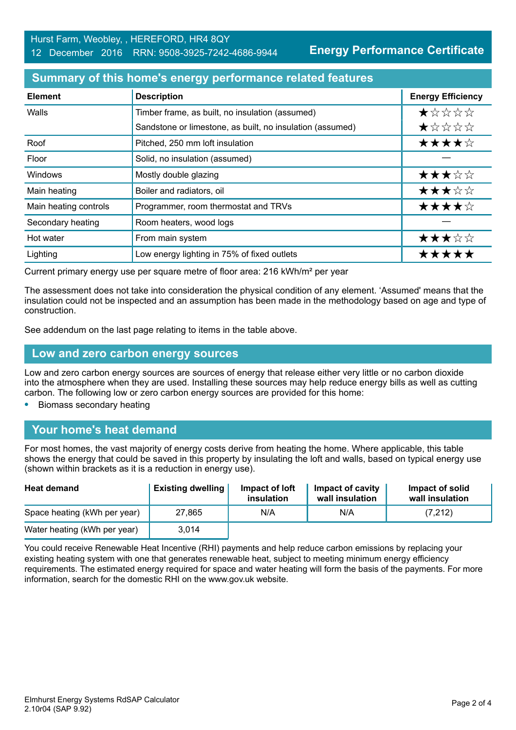**Energy Performance Certificate**

## **Summary of this home's energy performance related features**

| <b>Element</b>        | <b>Description</b>                                        | <b>Energy Efficiency</b> |
|-----------------------|-----------------------------------------------------------|--------------------------|
| Walls                 | Timber frame, as built, no insulation (assumed)           | *****                    |
|                       | Sandstone or limestone, as built, no insulation (assumed) | *****                    |
| Roof                  | Pitched, 250 mm loft insulation                           | ★★★★☆                    |
| Floor                 | Solid, no insulation (assumed)                            |                          |
| Windows               | Mostly double glazing                                     | ★★★☆☆                    |
| Main heating          | Boiler and radiators, oil                                 | ★★★☆☆                    |
| Main heating controls | Programmer, room thermostat and TRVs                      | ★★★★☆                    |
| Secondary heating     | Room heaters, wood logs                                   |                          |
| Hot water             | From main system                                          | ★★★☆☆                    |
| Lighting              | Low energy lighting in 75% of fixed outlets               | ***                      |

Current primary energy use per square metre of floor area: 216 kWh/m² per year

The assessment does not take into consideration the physical condition of any element. 'Assumed' means that the insulation could not be inspected and an assumption has been made in the methodology based on age and type of construction.

See addendum on the last page relating to items in the table above.

#### **Low and zero carbon energy sources**

Low and zero carbon energy sources are sources of energy that release either very little or no carbon dioxide into the atmosphere when they are used. Installing these sources may help reduce energy bills as well as cutting carbon. The following low or zero carbon energy sources are provided for this home:

**•** Biomass secondary heating

#### **Your home's heat demand**

For most homes, the vast majority of energy costs derive from heating the home. Where applicable, this table shows the energy that could be saved in this property by insulating the loft and walls, based on typical energy use (shown within brackets as it is a reduction in energy use).

| <b>Heat demand</b>           | <b>Existing dwelling</b> | Impact of loft<br>insulation | Impact of cavity<br>wall insulation | Impact of solid<br>wall insulation |
|------------------------------|--------------------------|------------------------------|-------------------------------------|------------------------------------|
| Space heating (kWh per year) | 27,865                   | N/A                          | N/A                                 | (7, 212)                           |
| Water heating (kWh per year) | 3.014                    |                              |                                     |                                    |

You could receive Renewable Heat Incentive (RHI) payments and help reduce carbon emissions by replacing your existing heating system with one that generates renewable heat, subject to meeting minimum energy efficiency requirements. The estimated energy required for space and water heating will form the basis of the payments. For more information, search for the domestic RHI on the www.gov.uk website.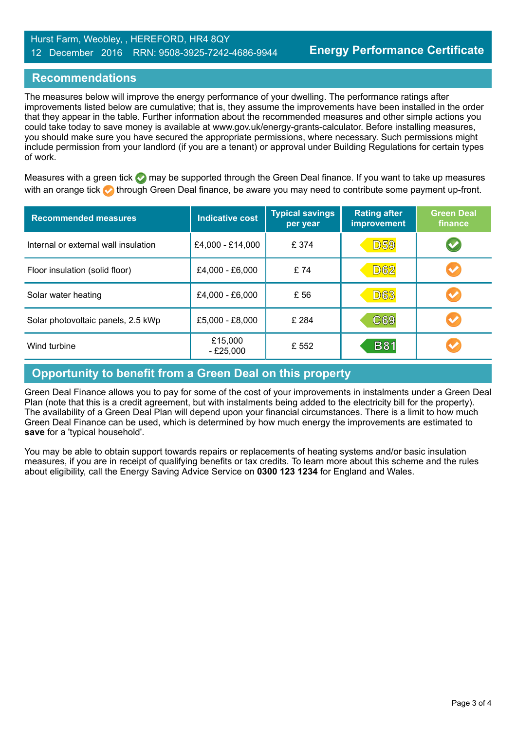# **Recommendations**

The measures below will improve the energy performance of your dwelling. The performance ratings after improvements listed below are cumulative; that is, they assume the improvements have been installed in the order that they appear in the table. Further information about the recommended measures and other simple actions you could take today to save money is available at www.gov.uk/energy-grants-calculator. Before installing measures, you should make sure you have secured the appropriate permissions, where necessary. Such permissions might include permission from your landlord (if you are a tenant) or approval under Building Regulations for certain types of work.

Measures with a green tick  $\bullet$  may be supported through the Green Deal finance. If you want to take up measures with an orange tick **th** through Green Deal finance, be aware you may need to contribute some payment up-front.

| <b>Recommended measures</b>          | <b>Indicative cost</b> | <b>Typical savings</b><br>per year | <b>Rating after</b><br><b>improvement</b> | <b>Green Deal</b><br>finance |
|--------------------------------------|------------------------|------------------------------------|-------------------------------------------|------------------------------|
| Internal or external wall insulation | £4,000 - £14,000       | £374                               | <b>D59</b>                                | $\blacktriangledown$         |
| Floor insulation (solid floor)       | £4,000 - £6,000        | £74                                | <b>D62</b>                                | $\blacktriangledown$         |
| Solar water heating                  | £4,000 - £6,000        | £ 56                               | <b>D63</b>                                |                              |
| Solar photovoltaic panels, 2.5 kWp   | £5,000 - £8,000        | £ 284                              | C69                                       | $\blacktriangledown$         |
| Wind turbine                         | £15,000<br>$- E25,000$ | £ 552                              | <b>B81</b>                                |                              |

# **Opportunity to benefit from a Green Deal on this property**

Green Deal Finance allows you to pay for some of the cost of your improvements in instalments under a Green Deal Plan (note that this is a credit agreement, but with instalments being added to the electricity bill for the property). The availability of a Green Deal Plan will depend upon your financial circumstances. There is a limit to how much Green Deal Finance can be used, which is determined by how much energy the improvements are estimated to **save** for a 'typical household'.

You may be able to obtain support towards repairs or replacements of heating systems and/or basic insulation measures, if you are in receipt of qualifying benefits or tax credits. To learn more about this scheme and the rules about eligibility, call the Energy Saving Advice Service on **0300 123 1234** for England and Wales.